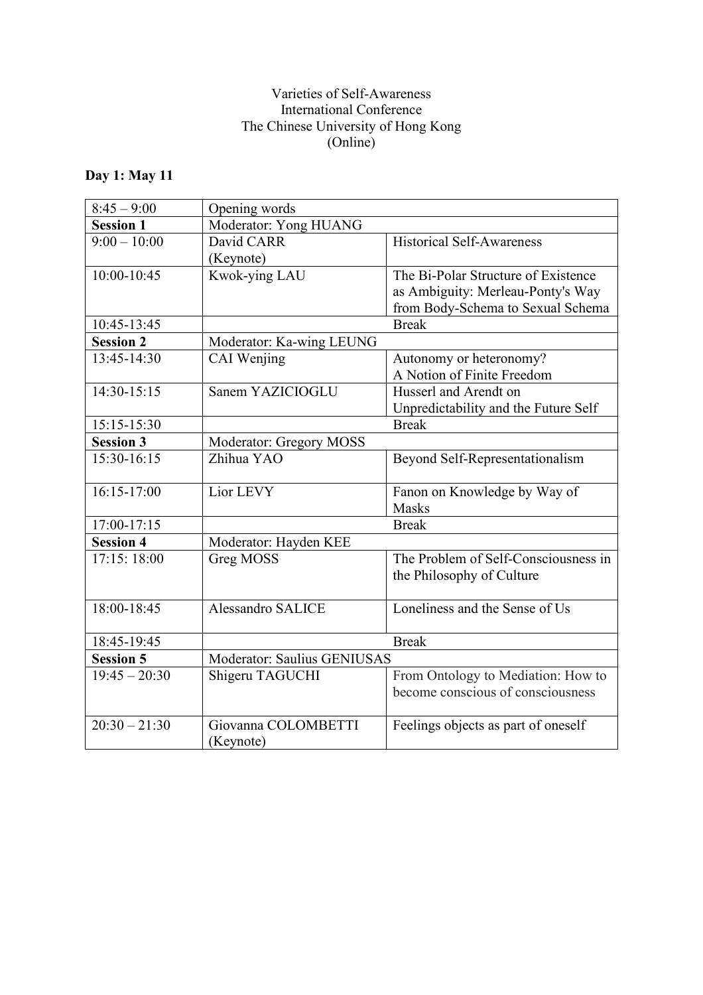## Varieties of Self-Awareness International Conference The Chinese University of Hong Kong (Online)

## **Day 1: May 11**

| $8:45 - 9:00$                   | Opening words               |                                      |
|---------------------------------|-----------------------------|--------------------------------------|
| <b>Session 1</b>                | Moderator: Yong HUANG       |                                      |
| $9:00 - 10:00$                  | David CARR                  | <b>Historical Self-Awareness</b>     |
|                                 | (Keynote)                   |                                      |
| 10:00-10:45                     | Kwok-ying LAU               | The Bi-Polar Structure of Existence  |
|                                 |                             | as Ambiguity: Merleau-Ponty's Way    |
|                                 |                             | from Body-Schema to Sexual Schema    |
| 10:45-13:45                     |                             | <b>Break</b>                         |
| <b>Session 2</b>                | Moderator: Ka-wing LEUNG    |                                      |
| 13:45-14:30                     | CAI Wenjing                 | Autonomy or heteronomy?              |
|                                 |                             | A Notion of Finite Freedom           |
| 14:30-15:15                     | Sanem YAZICIOGLU            | Husserl and Arendt on                |
|                                 |                             | Unpredictability and the Future Self |
| 15:15-15:30                     |                             | <b>Break</b>                         |
| <b>Session 3</b>                | Moderator: Gregory MOSS     |                                      |
| 15:30-16:15                     | Zhihua YAO                  | Beyond Self-Representationalism      |
|                                 |                             |                                      |
| 16:15-17:00                     | Lior LEVY                   | Fanon on Knowledge by Way of         |
|                                 |                             | <b>Masks</b>                         |
| 17:00-17:15<br><b>Session 4</b> | <b>Break</b>                |                                      |
|                                 | Moderator: Hayden KEE       |                                      |
| 17:15: 18:00                    | <b>Greg MOSS</b>            | The Problem of Self-Consciousness in |
|                                 |                             | the Philosophy of Culture            |
| 18:00-18:45                     | Alessandro SALICE           | Loneliness and the Sense of Us       |
|                                 |                             |                                      |
| 18:45-19:45                     |                             | <b>Break</b>                         |
| <b>Session 5</b>                | Moderator: Saulius GENIUSAS |                                      |
| $19:45 - 20:30$                 | Shigeru TAGUCHI             | From Ontology to Mediation: How to   |
|                                 |                             | become conscious of consciousness    |
|                                 |                             |                                      |
| $20:30 - 21:30$                 | Giovanna COLOMBETTI         | Feelings objects as part of oneself  |
|                                 | (Keynote)                   |                                      |